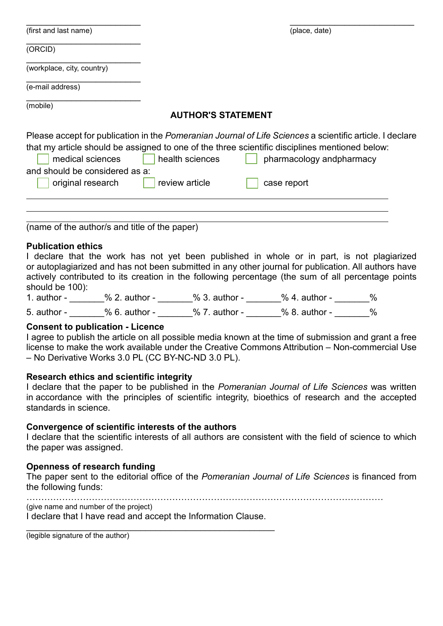| (first and last name)          |                           | (place, date)                                                                                            |
|--------------------------------|---------------------------|----------------------------------------------------------------------------------------------------------|
| (ORCID)                        |                           |                                                                                                          |
| (workplace, city, country)     |                           |                                                                                                          |
| (e-mail address)               |                           |                                                                                                          |
| (mobile)                       | <b>AUTHOR'S STATEMENT</b> |                                                                                                          |
|                                |                           |                                                                                                          |
|                                |                           | Please accept for publication in the Pomeranian Journal of Life Sciences a scientific article. I declare |
|                                |                           | that my article should be assigned to one of the three scientific disciplines mentioned below:           |
| medical sciences               | health sciences           | pharmacology and pharmacy                                                                                |
| and should be considered as a: |                           |                                                                                                          |
| original research              | review article            | case report                                                                                              |
|                                |                           |                                                                                                          |
|                                |                           |                                                                                                          |

(name of the author/s and title of the paper)

# **Publication ethics**

| I declare that the work has not yet been published in whole or in part, is not plagiarized           |  |
|------------------------------------------------------------------------------------------------------|--|
| or autoplagiarized and has not been submitted in any other journal for publication. All authors have |  |
| actively contributed to its creation in the following percentage (the sum of all percentage points   |  |
| should be 100):                                                                                      |  |

| 1. $author -$ | $% 2.$ author - | $% 3.$ author - | $% 4.$ author - | % |
|---------------|-----------------|-----------------|-----------------|---|
| 5. author -   | $% 6.$ author - | $% 7.$ author - | $% 8.$ author - | ℅ |

# **Consent to publication - Licence**

I agree to publish the article on all possible media known at the time of submission and grant a free license to make the work available under the Creative Commons Attribution – Non-commercial Use – No Derivative Works 3.0 PL (CC BY-NC-ND 3.0 PL).

# **Research ethics and scientific integrity**

I declare that the paper to be published in the *Pomeranian Journal of Life Sciences* was written in accordance with the principles of scientific integrity, bioethics of research and the accepted standards in science.

# **Convergence of scientific interests of the authors**

I declare that the scientific interests of all authors are consistent with the field of science to which the paper was assigned.

# **Openness of research funding**

The paper sent to the editorial office of the *Pomeranian Journal of Life Sciences* is financed from the following funds:

…………………………………………………………………………………………………………

(give name and number of the project)

I declare that I have read and accept the Information Clause. \_\_\_\_\_\_\_\_\_\_\_\_\_\_\_\_\_\_\_\_\_\_\_\_\_\_\_\_\_\_\_\_\_\_\_\_\_\_\_\_\_\_\_\_\_\_\_\_\_\_

(legible signature of the author)